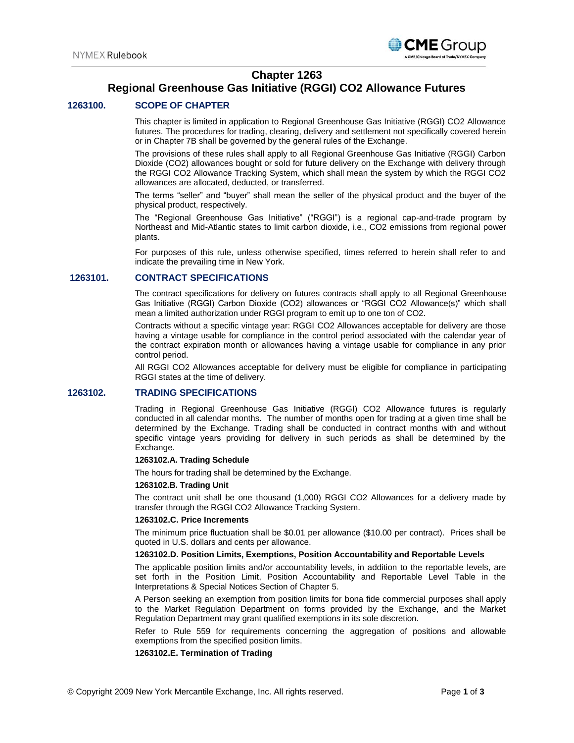

## **Chapter 1263**

# **Regional Greenhouse Gas Initiative (RGGI) CO2 Allowance Futures**

## **1263100. SCOPE OF CHAPTER**

This chapter is limited in application to Regional Greenhouse Gas Initiative (RGGI) CO2 Allowance futures. The procedures for trading, clearing, delivery and settlement not specifically covered herein or in Chapter 7B shall be governed by the general rules of the Exchange.

The provisions of these rules shall apply to all Regional Greenhouse Gas Initiative (RGGI) Carbon Dioxide (CO2) allowances bought or sold for future delivery on the Exchange with delivery through the RGGI CO2 Allowance Tracking System, which shall mean the system by which the RGGI CO2 allowances are allocated, deducted, or transferred.

The terms "seller" and "buyer" shall mean the seller of the physical product and the buyer of the physical product, respectively.

The "Regional Greenhouse Gas Initiative" ("RGGI") is a regional cap-and-trade program by Northeast and Mid-Atlantic states to limit carbon dioxide, i.e., CO2 emissions from regional power plants.

For purposes of this rule, unless otherwise specified, times referred to herein shall refer to and indicate the prevailing time in New York.

## **1263101. CONTRACT SPECIFICATIONS**

The contract specifications for delivery on futures contracts shall apply to all Regional Greenhouse Gas Initiative (RGGI) Carbon Dioxide (CO2) allowances or "RGGI CO2 Allowance(s)" which shall mean a limited authorization under RGGI program to emit up to one ton of CO2.

Contracts without a specific vintage year: RGGI CO2 Allowances acceptable for delivery are those having a vintage usable for compliance in the control period associated with the calendar year of the contract expiration month or allowances having a vintage usable for compliance in any prior control period.

All RGGI CO2 Allowances acceptable for delivery must be eligible for compliance in participating RGGI states at the time of delivery.

## **1263102. TRADING SPECIFICATIONS**

Trading in Regional Greenhouse Gas Initiative (RGGI) CO2 Allowance futures is regularly conducted in all calendar months. The number of months open for trading at a given time shall be determined by the Exchange. Trading shall be conducted in contract months with and without specific vintage years providing for delivery in such periods as shall be determined by the Exchange.

#### **1263102.A. Trading Schedule**

The hours for trading shall be determined by the Exchange.

#### **1263102.B. Trading Unit**

The contract unit shall be one thousand (1,000) RGGI CO2 Allowances for a delivery made by transfer through the RGGI CO2 Allowance Tracking System.

#### **1263102.C. Price Increments**

The minimum price fluctuation shall be \$0.01 per allowance (\$10.00 per contract). Prices shall be quoted in U.S. dollars and cents per allowance.

#### **1263102.D. Position Limits, Exemptions, Position Accountability and Reportable Levels**

The applicable position limits and/or accountability levels, in addition to the reportable levels, are set forth in the Position Limit, Position Accountability and Reportable Level Table in the Interpretations & Special Notices Section of Chapter 5.

A Person seeking an exemption from position limits for bona fide commercial purposes shall apply to the Market Regulation Department on forms provided by the Exchange, and the Market Regulation Department may grant qualified exemptions in its sole discretion.

Refer to Rule 559 for requirements concerning the aggregation of positions and allowable exemptions from the specified position limits.

#### **1263102.E. Termination of Trading**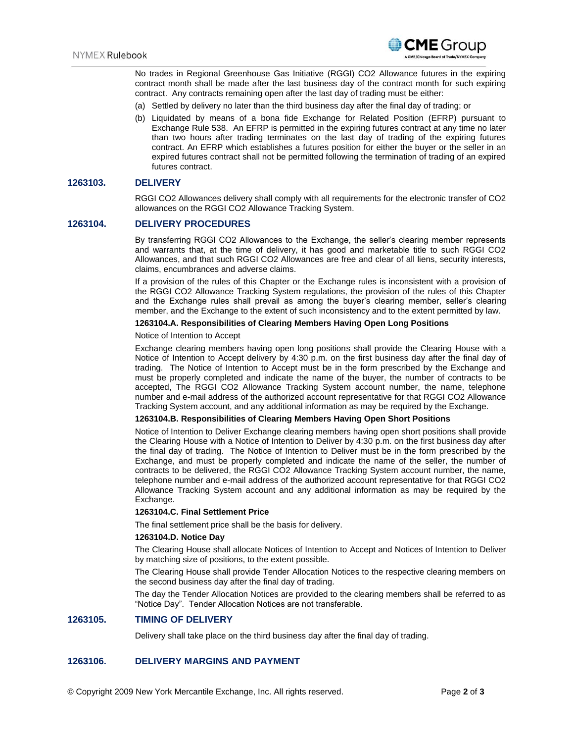

No trades in Regional Greenhouse Gas Initiative (RGGI) CO2 Allowance futures in the expiring contract month shall be made after the last business day of the contract month for such expiring contract. Any contracts remaining open after the last day of trading must be either:

- (a) Settled by delivery no later than the third business day after the final day of trading; or
- (b) Liquidated by means of a bona fide Exchange for Related Position (EFRP) pursuant to Exchange Rule 538. An EFRP is permitted in the expiring futures contract at any time no later than two hours after trading terminates on the last day of trading of the expiring futures contract. An EFRP which establishes a futures position for either the buyer or the seller in an expired futures contract shall not be permitted following the termination of trading of an expired futures contract.

#### **1263103. DELIVERY**

RGGI CO2 Allowances delivery shall comply with all requirements for the electronic transfer of CO2 allowances on the RGGI CO2 Allowance Tracking System.

## **1263104. DELIVERY PROCEDURES**

By transferring RGGI CO2 Allowances to the Exchange, the seller's clearing member represents and warrants that, at the time of delivery, it has good and marketable title to such RGGI CO2 Allowances, and that such RGGI CO2 Allowances are free and clear of all liens, security interests, claims, encumbrances and adverse claims.

If a provision of the rules of this Chapter or the Exchange rules is inconsistent with a provision of the RGGI CO2 Allowance Tracking System regulations, the provision of the rules of this Chapter and the Exchange rules shall prevail as among the buyer's clearing member, seller's clearing member, and the Exchange to the extent of such inconsistency and to the extent permitted by law.

#### **1263104.A. Responsibilities of Clearing Members Having Open Long Positions**

#### Notice of Intention to Accept

Exchange clearing members having open long positions shall provide the Clearing House with a Notice of Intention to Accept delivery by 4:30 p.m. on the first business day after the final day of trading. The Notice of Intention to Accept must be in the form prescribed by the Exchange and must be properly completed and indicate the name of the buyer, the number of contracts to be accepted, The RGGI CO2 Allowance Tracking System account number, the name, telephone number and e-mail address of the authorized account representative for that RGGI CO2 Allowance Tracking System account, and any additional information as may be required by the Exchange.

#### **1263104.B. Responsibilities of Clearing Members Having Open Short Positions**

Notice of Intention to Deliver Exchange clearing members having open short positions shall provide the Clearing House with a Notice of Intention to Deliver by 4:30 p.m. on the first business day after the final day of trading. The Notice of Intention to Deliver must be in the form prescribed by the Exchange, and must be properly completed and indicate the name of the seller, the number of contracts to be delivered, the RGGI CO2 Allowance Tracking System account number, the name, telephone number and e-mail address of the authorized account representative for that RGGI CO2 Allowance Tracking System account and any additional information as may be required by the Exchange.

#### **1263104.C. Final Settlement Price**

The final settlement price shall be the basis for delivery.

#### **1263104.D. Notice Day**

The Clearing House shall allocate Notices of Intention to Accept and Notices of Intention to Deliver by matching size of positions, to the extent possible.

The Clearing House shall provide Tender Allocation Notices to the respective clearing members on the second business day after the final day of trading.

The day the Tender Allocation Notices are provided to the clearing members shall be referred to as "Notice Day". Tender Allocation Notices are not transferable.

## **1263105. TIMING OF DELIVERY**

Delivery shall take place on the third business day after the final day of trading.

## **1263106. DELIVERY MARGINS AND PAYMENT**